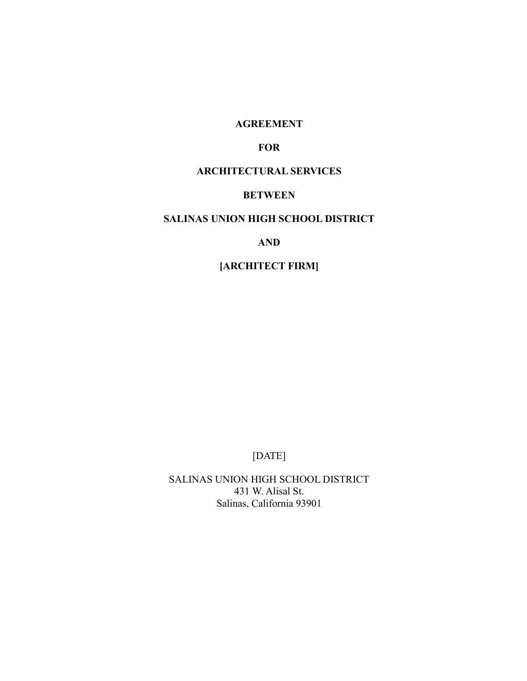### **AGREEMENT**

### **FOR**

### **ARCHITECTURAL SERVICES**

## **BETWEEN**

## **SALINAS UNION HIGH SCHOOL DISTRICT**

### **AND**

## **[ARCHITECT FIRM]**

# [DATE]

SALINAS UNION HIGH SCHOOL DISTRICT 431 W. Alisal St. Salinas, California 93901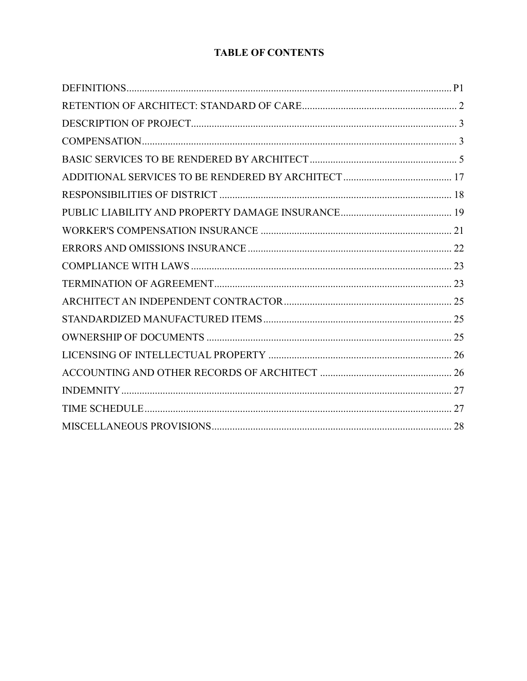# **TABLE OF CONTENTS**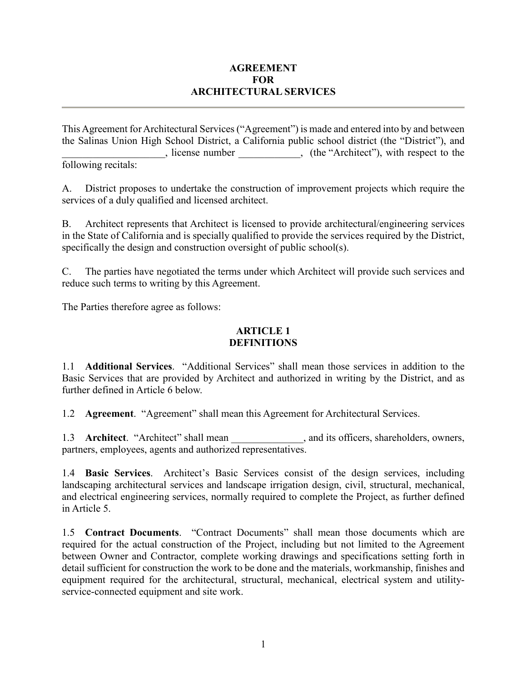### **AGREEMENT FOR ARCHITECTURAL SERVICES**

This Agreement for Architectural Services ("Agreement") is made and entered into by and between the Salinas Union High School District, a California public school district (the "District"), and , license number , (the "Architect"), with respect to the following recitals:

A. District proposes to undertake the construction of improvement projects which require the services of a duly qualified and licensed architect.

B. Architect represents that Architect is licensed to provide architectural/engineering services in the State of California and is specially qualified to provide the services required by the District, specifically the design and construction oversight of public school(s).

C. The parties have negotiated the terms under which Architect will provide such services and reduce such terms to writing by this Agreement.

The Parties therefore agree as follows:

## **ARTICLE 1 DEFINITIONS**

1.1 **Additional Services**. "Additional Services" shall mean those services in addition to the Basic Services that are provided by Architect and authorized in writing by the District, and as further defined in Article 6 below.

1.2 **Agreement**. "Agreement" shall mean this Agreement for Architectural Services.

1.3 **Architect**. "Architect" shall mean \_\_\_\_\_\_\_\_\_\_\_\_, and its officers, shareholders, owners, partners, employees, agents and authorized representatives.

1.4 **Basic Services**. Architect's Basic Services consist of the design services, including landscaping architectural services and landscape irrigation design, civil, structural, mechanical, and electrical engineering services, normally required to complete the Project, as further defined in Article 5.

1.5 **Contract Documents**. "Contract Documents" shall mean those documents which are required for the actual construction of the Project, including but not limited to the Agreement between Owner and Contractor, complete working drawings and specifications setting forth in detail sufficient for construction the work to be done and the materials, workmanship, finishes and equipment required for the architectural, structural, mechanical, electrical system and utilityservice-connected equipment and site work.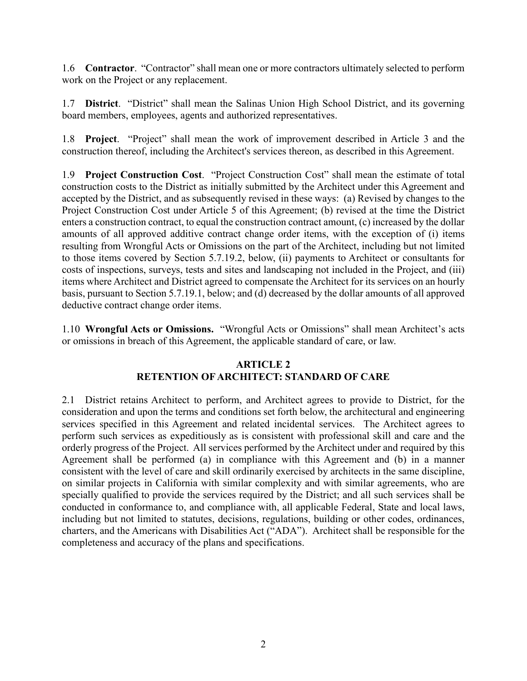1.6 **Contractor**. "Contractor" shall mean one or more contractors ultimately selected to perform work on the Project or any replacement.

1.7 **District**. "District" shall mean the Salinas Union High School District, and its governing board members, employees, agents and authorized representatives.

1.8 **Project**. "Project" shall mean the work of improvement described in Article 3 and the construction thereof, including the Architect's services thereon, as described in this Agreement.

1.9 **Project Construction Cost**. "Project Construction Cost" shall mean the estimate of total construction costs to the District as initially submitted by the Architect under this Agreement and accepted by the District, and as subsequently revised in these ways: (a) Revised by changes to the Project Construction Cost under Article 5 of this Agreement; (b) revised at the time the District enters a construction contract, to equal the construction contract amount, (c) increased by the dollar amounts of all approved additive contract change order items, with the exception of (i) items resulting from Wrongful Acts or Omissions on the part of the Architect, including but not limited to those items covered by Section 5.7.19.2, below, (ii) payments to Architect or consultants for costs of inspections, surveys, tests and sites and landscaping not included in the Project, and (iii) items where Architect and District agreed to compensate the Architect for its services on an hourly basis, pursuant to Section 5.7.19.1, below; and (d) decreased by the dollar amounts of all approved deductive contract change order items.

1.10 **Wrongful Acts or Omissions.** "Wrongful Acts or Omissions" shall mean Architect's acts or omissions in breach of this Agreement, the applicable standard of care, or law.

## **ARTICLE 2 RETENTION OF ARCHITECT: STANDARD OF CARE**

2.1 District retains Architect to perform, and Architect agrees to provide to District, for the consideration and upon the terms and conditions set forth below, the architectural and engineering services specified in this Agreement and related incidental services. The Architect agrees to perform such services as expeditiously as is consistent with professional skill and care and the orderly progress of the Project. All services performed by the Architect under and required by this Agreement shall be performed (a) in compliance with this Agreement and (b) in a manner consistent with the level of care and skill ordinarily exercised by architects in the same discipline, on similar projects in California with similar complexity and with similar agreements, who are specially qualified to provide the services required by the District; and all such services shall be conducted in conformance to, and compliance with, all applicable Federal, State and local laws, including but not limited to statutes, decisions, regulations, building or other codes, ordinances, charters, and the Americans with Disabilities Act ("ADA"). Architect shall be responsible for the completeness and accuracy of the plans and specifications.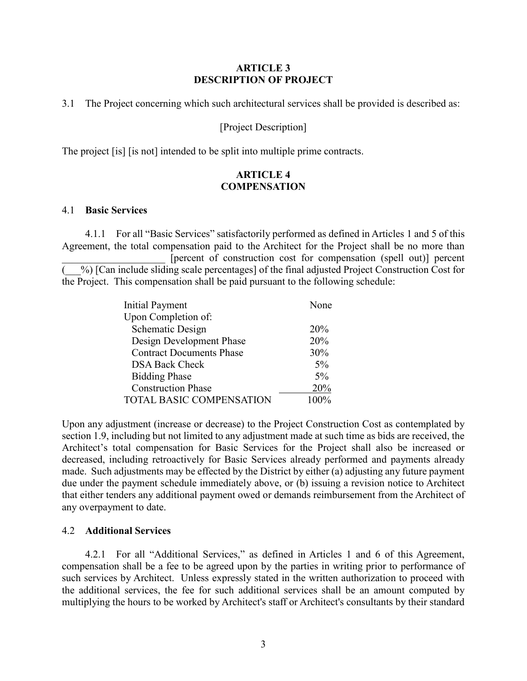#### **ARTICLE 3 DESCRIPTION OF PROJECT**

3.1 The Project concerning which such architectural services shall be provided is described as:

### [Project Description]

The project [is] [is not] intended to be split into multiple prime contracts.

### **ARTICLE 4 COMPENSATION**

#### 4.1 **Basic Services**

4.1.1 For all "Basic Services" satisfactorily performed as defined in Articles 1 and 5 of this Agreement, the total compensation paid to the Architect for the Project shall be no more than [percent of construction cost for compensation (spell out)] percent (\_\_\_%) [Can include sliding scale percentages] of the final adjusted Project Construction Cost for the Project. This compensation shall be paid pursuant to the following schedule:

| <b>Initial Payment</b>          | None    |
|---------------------------------|---------|
| Upon Completion of:             |         |
| <b>Schematic Design</b>         | 20%     |
| Design Development Phase        | 20%     |
| <b>Contract Documents Phase</b> | 30%     |
| <b>DSA Back Check</b>           | $5\%$   |
| <b>Bidding Phase</b>            | $5\%$   |
| <b>Construction Phase</b>       | 20%     |
| <b>TOTAL BASIC COMPENSATION</b> | $100\%$ |

Upon any adjustment (increase or decrease) to the Project Construction Cost as contemplated by section 1.9, including but not limited to any adjustment made at such time as bids are received, the Architect's total compensation for Basic Services for the Project shall also be increased or decreased, including retroactively for Basic Services already performed and payments already made. Such adjustments may be effected by the District by either (a) adjusting any future payment due under the payment schedule immediately above, or (b) issuing a revision notice to Architect that either tenders any additional payment owed or demands reimbursement from the Architect of any overpayment to date.

#### 4.2 **Additional Services**

4.2.1 For all "Additional Services," as defined in Articles 1 and 6 of this Agreement, compensation shall be a fee to be agreed upon by the parties in writing prior to performance of such services by Architect. Unless expressly stated in the written authorization to proceed with the additional services, the fee for such additional services shall be an amount computed by multiplying the hours to be worked by Architect's staff or Architect's consultants by their standard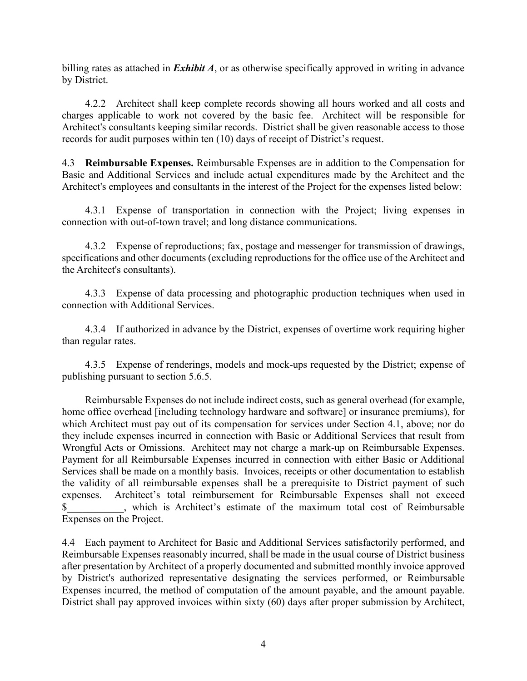billing rates as attached in *Exhibit A*, or as otherwise specifically approved in writing in advance by District.

4.2.2 Architect shall keep complete records showing all hours worked and all costs and charges applicable to work not covered by the basic fee. Architect will be responsible for Architect's consultants keeping similar records. District shall be given reasonable access to those records for audit purposes within ten (10) days of receipt of District's request.

4.3 **Reimbursable Expenses.** Reimbursable Expenses are in addition to the Compensation for Basic and Additional Services and include actual expenditures made by the Architect and the Architect's employees and consultants in the interest of the Project for the expenses listed below:

4.3.1 Expense of transportation in connection with the Project; living expenses in connection with out-of-town travel; and long distance communications.

4.3.2 Expense of reproductions; fax, postage and messenger for transmission of drawings, specifications and other documents (excluding reproductions for the office use of the Architect and the Architect's consultants).

4.3.3 Expense of data processing and photographic production techniques when used in connection with Additional Services.

4.3.4 If authorized in advance by the District, expenses of overtime work requiring higher than regular rates.

4.3.5 Expense of renderings, models and mock-ups requested by the District; expense of publishing pursuant to section 5.6.5.

Reimbursable Expenses do not include indirect costs, such as general overhead (for example, home office overhead [including technology hardware and software] or insurance premiums), for which Architect must pay out of its compensation for services under Section 4.1, above; nor do they include expenses incurred in connection with Basic or Additional Services that result from Wrongful Acts or Omissions. Architect may not charge a mark-up on Reimbursable Expenses. Payment for all Reimbursable Expenses incurred in connection with either Basic or Additional Services shall be made on a monthly basis. Invoices, receipts or other documentation to establish the validity of all reimbursable expenses shall be a prerequisite to District payment of such expenses. Architect's total reimbursement for Reimbursable Expenses shall not exceed \$\_\_\_\_\_\_\_\_\_\_\_, which is Architect's estimate of the maximum total cost of Reimbursable Expenses on the Project.

4.4 Each payment to Architect for Basic and Additional Services satisfactorily performed, and Reimbursable Expenses reasonably incurred, shall be made in the usual course of District business after presentation by Architect of a properly documented and submitted monthly invoice approved by District's authorized representative designating the services performed, or Reimbursable Expenses incurred, the method of computation of the amount payable, and the amount payable. District shall pay approved invoices within sixty (60) days after proper submission by Architect,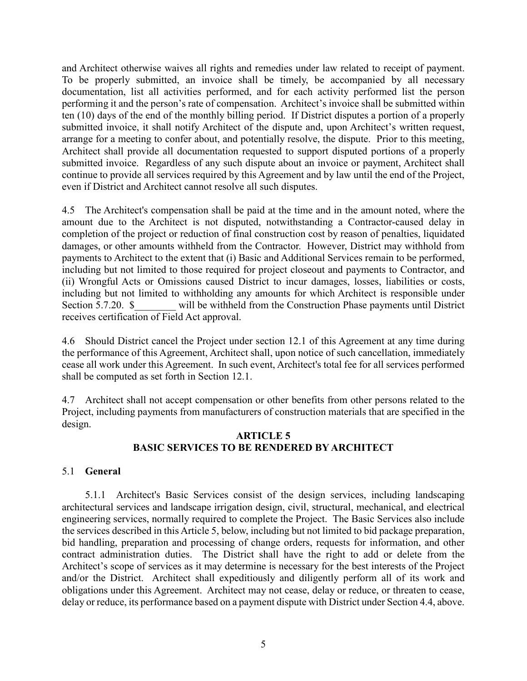and Architect otherwise waives all rights and remedies under law related to receipt of payment. To be properly submitted, an invoice shall be timely, be accompanied by all necessary documentation, list all activities performed, and for each activity performed list the person performing it and the person's rate of compensation. Architect's invoice shall be submitted within ten (10) days of the end of the monthly billing period. If District disputes a portion of a properly submitted invoice, it shall notify Architect of the dispute and, upon Architect's written request, arrange for a meeting to confer about, and potentially resolve, the dispute. Prior to this meeting, Architect shall provide all documentation requested to support disputed portions of a properly submitted invoice. Regardless of any such dispute about an invoice or payment, Architect shall continue to provide all services required by this Agreement and by law until the end of the Project, even if District and Architect cannot resolve all such disputes.

4.5 The Architect's compensation shall be paid at the time and in the amount noted, where the amount due to the Architect is not disputed, notwithstanding a Contractor-caused delay in completion of the project or reduction of final construction cost by reason of penalties, liquidated damages, or other amounts withheld from the Contractor. However, District may withhold from payments to Architect to the extent that (i) Basic and Additional Services remain to be performed, including but not limited to those required for project closeout and payments to Contractor, and (ii) Wrongful Acts or Omissions caused District to incur damages, losses, liabilities or costs, including but not limited to withholding any amounts for which Architect is responsible under Section 5.7.20. \$ will be withheld from the Construction Phase payments until District receives certification of Field Act approval.

4.6 Should District cancel the Project under section 12.1 of this Agreement at any time during the performance of this Agreement, Architect shall, upon notice of such cancellation, immediately cease all work under this Agreement. In such event, Architect's total fee for all services performed shall be computed as set forth in Section 12.1.

4.7 Architect shall not accept compensation or other benefits from other persons related to the Project, including payments from manufacturers of construction materials that are specified in the design.

### **ARTICLE 5 BASIC SERVICES TO BE RENDERED BY ARCHITECT**

## 5.1 **General**

5.1.1 Architect's Basic Services consist of the design services, including landscaping architectural services and landscape irrigation design, civil, structural, mechanical, and electrical engineering services, normally required to complete the Project. The Basic Services also include the services described in this Article 5, below, including but not limited to bid package preparation, bid handling, preparation and processing of change orders, requests for information, and other contract administration duties. The District shall have the right to add or delete from the Architect's scope of services as it may determine is necessary for the best interests of the Project and/or the District. Architect shall expeditiously and diligently perform all of its work and obligations under this Agreement. Architect may not cease, delay or reduce, or threaten to cease, delay or reduce, its performance based on a payment dispute with District under Section 4.4, above.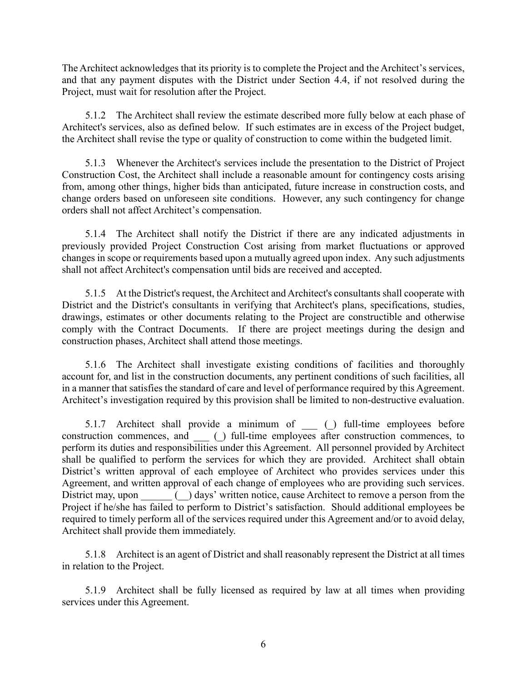The Architect acknowledges that its priority is to complete the Project and the Architect's services, and that any payment disputes with the District under Section 4.4, if not resolved during the Project, must wait for resolution after the Project.

5.1.2 The Architect shall review the estimate described more fully below at each phase of Architect's services, also as defined below. If such estimates are in excess of the Project budget, the Architect shall revise the type or quality of construction to come within the budgeted limit.

5.1.3 Whenever the Architect's services include the presentation to the District of Project Construction Cost, the Architect shall include a reasonable amount for contingency costs arising from, among other things, higher bids than anticipated, future increase in construction costs, and change orders based on unforeseen site conditions. However, any such contingency for change orders shall not affect Architect's compensation.

5.1.4 The Architect shall notify the District if there are any indicated adjustments in previously provided Project Construction Cost arising from market fluctuations or approved changes in scope or requirements based upon a mutually agreed upon index. Any such adjustments shall not affect Architect's compensation until bids are received and accepted.

5.1.5 At the District's request, the Architect and Architect's consultants shall cooperate with District and the District's consultants in verifying that Architect's plans, specifications, studies, drawings, estimates or other documents relating to the Project are constructible and otherwise comply with the Contract Documents. If there are project meetings during the design and construction phases, Architect shall attend those meetings.

5.1.6 The Architect shall investigate existing conditions of facilities and thoroughly account for, and list in the construction documents, any pertinent conditions of such facilities, all in a manner that satisfies the standard of care and level of performance required by this Agreement. Architect's investigation required by this provision shall be limited to non-destructive evaluation.

5.1.7 Architect shall provide a minimum of \_\_\_ (\_) full-time employees before construction commences, and  $\qquad$  () full-time employees after construction commences, to perform its duties and responsibilities under this Agreement. All personnel provided by Architect shall be qualified to perform the services for which they are provided. Architect shall obtain District's written approval of each employee of Architect who provides services under this Agreement, and written approval of each change of employees who are providing such services. District may, upon  $\bigcirc$  days' written notice, cause Architect to remove a person from the Project if he/she has failed to perform to District's satisfaction. Should additional employees be required to timely perform all of the services required under this Agreement and/or to avoid delay, Architect shall provide them immediately.

5.1.8 Architect is an agent of District and shall reasonably represent the District at all times in relation to the Project.

5.1.9 Architect shall be fully licensed as required by law at all times when providing services under this Agreement.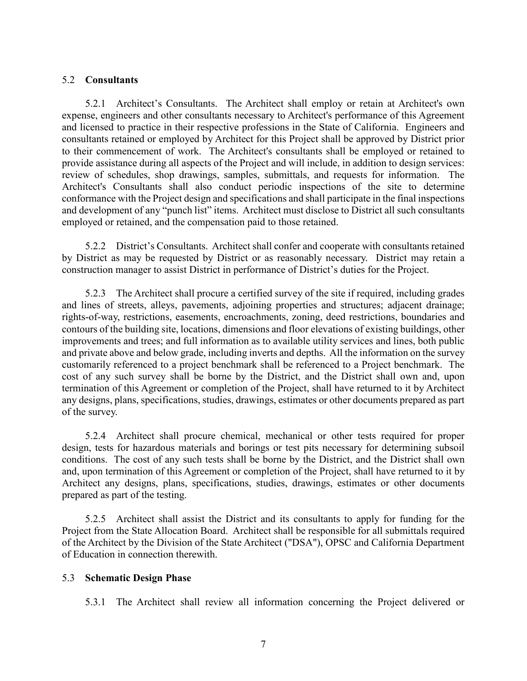#### 5.2 **Consultants**

5.2.1 Architect's Consultants. The Architect shall employ or retain at Architect's own expense, engineers and other consultants necessary to Architect's performance of this Agreement and licensed to practice in their respective professions in the State of California. Engineers and consultants retained or employed by Architect for this Project shall be approved by District prior to their commencement of work. The Architect's consultants shall be employed or retained to provide assistance during all aspects of the Project and will include, in addition to design services: review of schedules, shop drawings, samples, submittals, and requests for information. The Architect's Consultants shall also conduct periodic inspections of the site to determine conformance with the Project design and specifications and shall participate in the final inspections and development of any "punch list" items. Architect must disclose to District all such consultants employed or retained, and the compensation paid to those retained.

5.2.2 District's Consultants. Architect shall confer and cooperate with consultants retained by District as may be requested by District or as reasonably necessary. District may retain a construction manager to assist District in performance of District's duties for the Project.

5.2.3 The Architect shall procure a certified survey of the site if required, including grades and lines of streets, alleys, pavements, adjoining properties and structures; adjacent drainage; rights-of-way, restrictions, easements, encroachments, zoning, deed restrictions, boundaries and contours of the building site, locations, dimensions and floor elevations of existing buildings, other improvements and trees; and full information as to available utility services and lines, both public and private above and below grade, including inverts and depths. All the information on the survey customarily referenced to a project benchmark shall be referenced to a Project benchmark. The cost of any such survey shall be borne by the District, and the District shall own and, upon termination of this Agreement or completion of the Project, shall have returned to it by Architect any designs, plans, specifications, studies, drawings, estimates or other documents prepared as part of the survey.

5.2.4 Architect shall procure chemical, mechanical or other tests required for proper design, tests for hazardous materials and borings or test pits necessary for determining subsoil conditions. The cost of any such tests shall be borne by the District, and the District shall own and, upon termination of this Agreement or completion of the Project, shall have returned to it by Architect any designs, plans, specifications, studies, drawings, estimates or other documents prepared as part of the testing.

5.2.5 Architect shall assist the District and its consultants to apply for funding for the Project from the State Allocation Board. Architect shall be responsible for all submittals required of the Architect by the Division of the State Architect ("DSA"), OPSC and California Department of Education in connection therewith.

### 5.3 **Schematic Design Phase**

5.3.1 The Architect shall review all information concerning the Project delivered or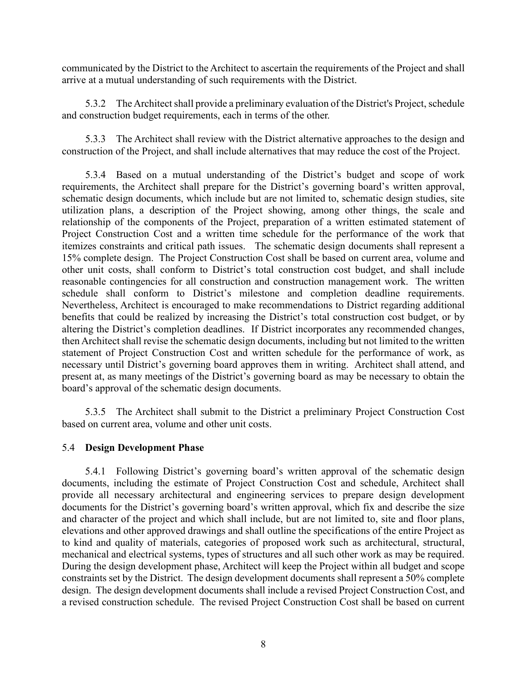communicated by the District to the Architect to ascertain the requirements of the Project and shall arrive at a mutual understanding of such requirements with the District.

5.3.2 The Architect shall provide a preliminary evaluation of the District's Project, schedule and construction budget requirements, each in terms of the other.

5.3.3 The Architect shall review with the District alternative approaches to the design and construction of the Project, and shall include alternatives that may reduce the cost of the Project.

5.3.4 Based on a mutual understanding of the District's budget and scope of work requirements, the Architect shall prepare for the District's governing board's written approval, schematic design documents, which include but are not limited to, schematic design studies, site utilization plans, a description of the Project showing, among other things, the scale and relationship of the components of the Project, preparation of a written estimated statement of Project Construction Cost and a written time schedule for the performance of the work that itemizes constraints and critical path issues. The schematic design documents shall represent a 15% complete design. The Project Construction Cost shall be based on current area, volume and other unit costs, shall conform to District's total construction cost budget, and shall include reasonable contingencies for all construction and construction management work. The written schedule shall conform to District's milestone and completion deadline requirements. Nevertheless, Architect is encouraged to make recommendations to District regarding additional benefits that could be realized by increasing the District's total construction cost budget, or by altering the District's completion deadlines. If District incorporates any recommended changes, then Architect shall revise the schematic design documents, including but not limited to the written statement of Project Construction Cost and written schedule for the performance of work, as necessary until District's governing board approves them in writing. Architect shall attend, and present at, as many meetings of the District's governing board as may be necessary to obtain the board's approval of the schematic design documents.

5.3.5 The Architect shall submit to the District a preliminary Project Construction Cost based on current area, volume and other unit costs.

### 5.4 **Design Development Phase**

5.4.1 Following District's governing board's written approval of the schematic design documents, including the estimate of Project Construction Cost and schedule, Architect shall provide all necessary architectural and engineering services to prepare design development documents for the District's governing board's written approval, which fix and describe the size and character of the project and which shall include, but are not limited to, site and floor plans, elevations and other approved drawings and shall outline the specifications of the entire Project as to kind and quality of materials, categories of proposed work such as architectural, structural, mechanical and electrical systems, types of structures and all such other work as may be required. During the design development phase, Architect will keep the Project within all budget and scope constraints set by the District. The design development documents shall represent a 50% complete design. The design development documents shall include a revised Project Construction Cost, and a revised construction schedule. The revised Project Construction Cost shall be based on current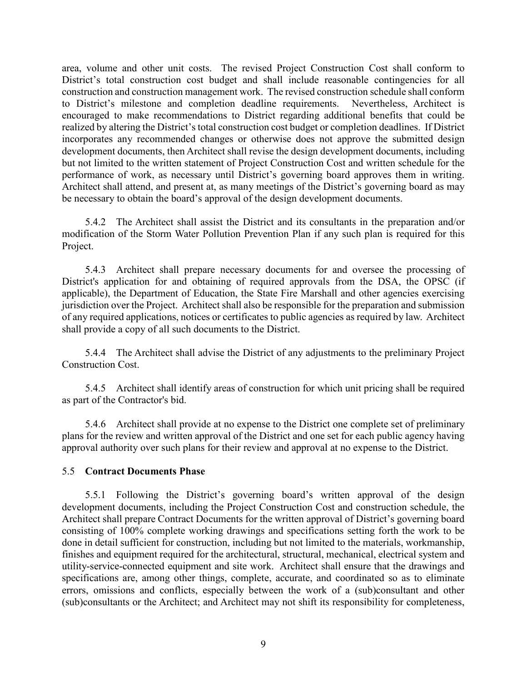area, volume and other unit costs. The revised Project Construction Cost shall conform to District's total construction cost budget and shall include reasonable contingencies for all construction and construction management work. The revised construction schedule shall conform to District's milestone and completion deadline requirements. Nevertheless, Architect is encouraged to make recommendations to District regarding additional benefits that could be realized by altering the District's total construction cost budget or completion deadlines. If District incorporates any recommended changes or otherwise does not approve the submitted design development documents, then Architect shall revise the design development documents, including but not limited to the written statement of Project Construction Cost and written schedule for the performance of work, as necessary until District's governing board approves them in writing. Architect shall attend, and present at, as many meetings of the District's governing board as may be necessary to obtain the board's approval of the design development documents.

5.4.2 The Architect shall assist the District and its consultants in the preparation and/or modification of the Storm Water Pollution Prevention Plan if any such plan is required for this Project.

5.4.3 Architect shall prepare necessary documents for and oversee the processing of District's application for and obtaining of required approvals from the DSA, the OPSC (if applicable), the Department of Education, the State Fire Marshall and other agencies exercising jurisdiction over the Project. Architect shall also be responsible for the preparation and submission of any required applications, notices or certificates to public agencies as required by law. Architect shall provide a copy of all such documents to the District.

5.4.4 The Architect shall advise the District of any adjustments to the preliminary Project Construction Cost.

5.4.5 Architect shall identify areas of construction for which unit pricing shall be required as part of the Contractor's bid.

5.4.6 Architect shall provide at no expense to the District one complete set of preliminary plans for the review and written approval of the District and one set for each public agency having approval authority over such plans for their review and approval at no expense to the District.

### 5.5 **Contract Documents Phase**

5.5.1 Following the District's governing board's written approval of the design development documents, including the Project Construction Cost and construction schedule, the Architect shall prepare Contract Documents for the written approval of District's governing board consisting of 100% complete working drawings and specifications setting forth the work to be done in detail sufficient for construction, including but not limited to the materials, workmanship, finishes and equipment required for the architectural, structural, mechanical, electrical system and utility-service-connected equipment and site work. Architect shall ensure that the drawings and specifications are, among other things, complete, accurate, and coordinated so as to eliminate errors, omissions and conflicts, especially between the work of a (sub)consultant and other (sub)consultants or the Architect; and Architect may not shift its responsibility for completeness,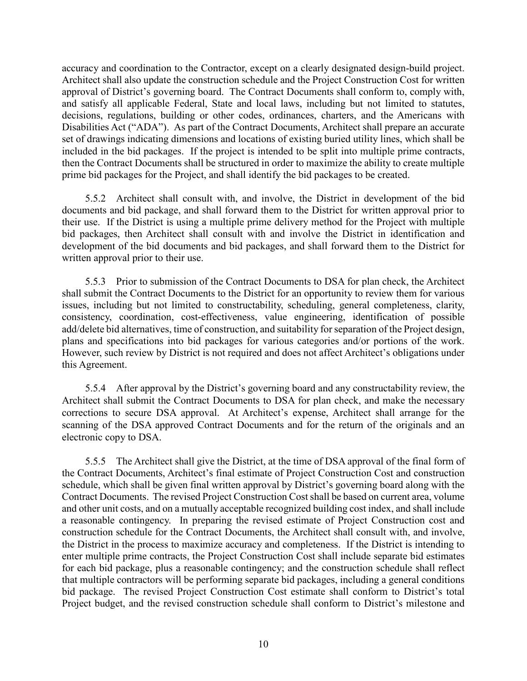accuracy and coordination to the Contractor, except on a clearly designated design-build project. Architect shall also update the construction schedule and the Project Construction Cost for written approval of District's governing board. The Contract Documents shall conform to, comply with, and satisfy all applicable Federal, State and local laws, including but not limited to statutes, decisions, regulations, building or other codes, ordinances, charters, and the Americans with Disabilities Act ("ADA"). As part of the Contract Documents, Architect shall prepare an accurate set of drawings indicating dimensions and locations of existing buried utility lines, which shall be included in the bid packages. If the project is intended to be split into multiple prime contracts, then the Contract Documents shall be structured in order to maximize the ability to create multiple prime bid packages for the Project, and shall identify the bid packages to be created.

5.5.2 Architect shall consult with, and involve, the District in development of the bid documents and bid package, and shall forward them to the District for written approval prior to their use. If the District is using a multiple prime delivery method for the Project with multiple bid packages, then Architect shall consult with and involve the District in identification and development of the bid documents and bid packages, and shall forward them to the District for written approval prior to their use.

5.5.3 Prior to submission of the Contract Documents to DSA for plan check, the Architect shall submit the Contract Documents to the District for an opportunity to review them for various issues, including but not limited to constructability, scheduling, general completeness, clarity, consistency, coordination, cost-effectiveness, value engineering, identification of possible add/delete bid alternatives, time of construction, and suitability for separation of the Project design, plans and specifications into bid packages for various categories and/or portions of the work. However, such review by District is not required and does not affect Architect's obligations under this Agreement.

5.5.4 After approval by the District's governing board and any constructability review, the Architect shall submit the Contract Documents to DSA for plan check, and make the necessary corrections to secure DSA approval. At Architect's expense, Architect shall arrange for the scanning of the DSA approved Contract Documents and for the return of the originals and an electronic copy to DSA.

5.5.5 The Architect shall give the District, at the time of DSA approval of the final form of the Contract Documents, Architect's final estimate of Project Construction Cost and construction schedule, which shall be given final written approval by District's governing board along with the Contract Documents. The revised Project Construction Cost shall be based on current area, volume and other unit costs, and on a mutually acceptable recognized building cost index, and shall include a reasonable contingency. In preparing the revised estimate of Project Construction cost and construction schedule for the Contract Documents, the Architect shall consult with, and involve, the District in the process to maximize accuracy and completeness. If the District is intending to enter multiple prime contracts, the Project Construction Cost shall include separate bid estimates for each bid package, plus a reasonable contingency; and the construction schedule shall reflect that multiple contractors will be performing separate bid packages, including a general conditions bid package. The revised Project Construction Cost estimate shall conform to District's total Project budget, and the revised construction schedule shall conform to District's milestone and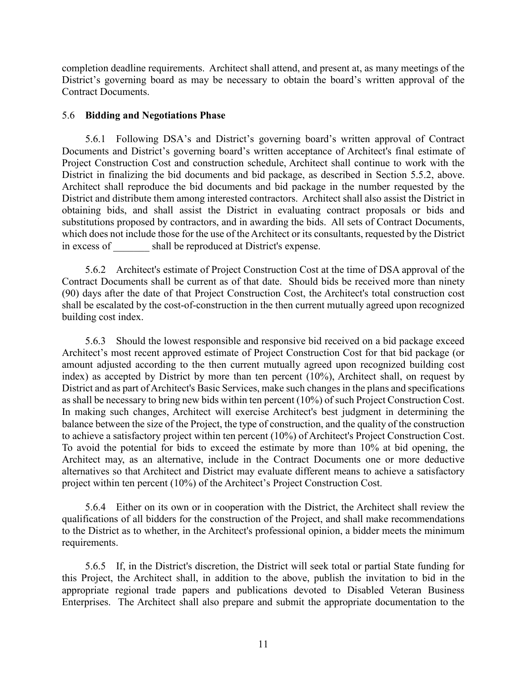completion deadline requirements. Architect shall attend, and present at, as many meetings of the District's governing board as may be necessary to obtain the board's written approval of the Contract Documents.

#### 5.6 **Bidding and Negotiations Phase**

5.6.1 Following DSA's and District's governing board's written approval of Contract Documents and District's governing board's written acceptance of Architect's final estimate of Project Construction Cost and construction schedule, Architect shall continue to work with the District in finalizing the bid documents and bid package, as described in Section 5.5.2, above. Architect shall reproduce the bid documents and bid package in the number requested by the District and distribute them among interested contractors. Architect shall also assist the District in obtaining bids, and shall assist the District in evaluating contract proposals or bids and substitutions proposed by contractors, and in awarding the bids. All sets of Contract Documents, which does not include those for the use of the Architect or its consultants, requested by the District in excess of shall be reproduced at District's expense.

5.6.2 Architect's estimate of Project Construction Cost at the time of DSA approval of the Contract Documents shall be current as of that date. Should bids be received more than ninety (90) days after the date of that Project Construction Cost, the Architect's total construction cost shall be escalated by the cost-of-construction in the then current mutually agreed upon recognized building cost index.

5.6.3 Should the lowest responsible and responsive bid received on a bid package exceed Architect's most recent approved estimate of Project Construction Cost for that bid package (or amount adjusted according to the then current mutually agreed upon recognized building cost index) as accepted by District by more than ten percent (10%), Architect shall, on request by District and as part of Architect's Basic Services, make such changes in the plans and specifications as shall be necessary to bring new bids within ten percent (10%) of such Project Construction Cost. In making such changes, Architect will exercise Architect's best judgment in determining the balance between the size of the Project, the type of construction, and the quality of the construction to achieve a satisfactory project within ten percent (10%) of Architect's Project Construction Cost. To avoid the potential for bids to exceed the estimate by more than 10% at bid opening, the Architect may, as an alternative, include in the Contract Documents one or more deductive alternatives so that Architect and District may evaluate different means to achieve a satisfactory project within ten percent (10%) of the Architect's Project Construction Cost.

5.6.4 Either on its own or in cooperation with the District, the Architect shall review the qualifications of all bidders for the construction of the Project, and shall make recommendations to the District as to whether, in the Architect's professional opinion, a bidder meets the minimum requirements.

5.6.5 If, in the District's discretion, the District will seek total or partial State funding for this Project, the Architect shall, in addition to the above, publish the invitation to bid in the appropriate regional trade papers and publications devoted to Disabled Veteran Business Enterprises. The Architect shall also prepare and submit the appropriate documentation to the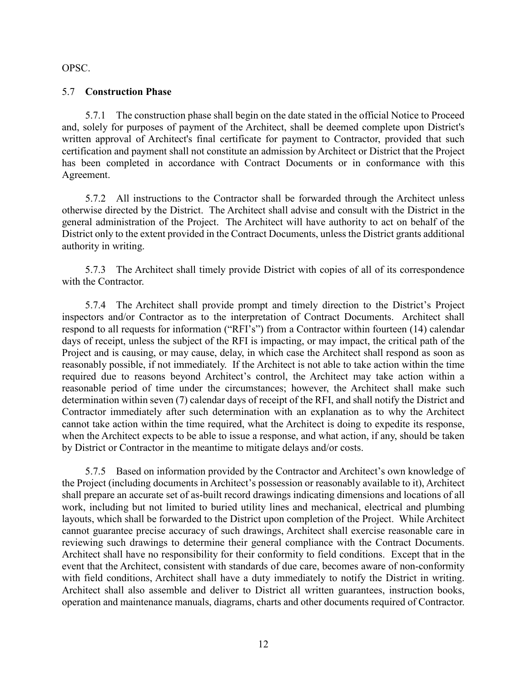OPSC.

### 5.7 **Construction Phase**

5.7.1 The construction phase shall begin on the date stated in the official Notice to Proceed and, solely for purposes of payment of the Architect, shall be deemed complete upon District's written approval of Architect's final certificate for payment to Contractor, provided that such certification and payment shall not constitute an admission by Architect or District that the Project has been completed in accordance with Contract Documents or in conformance with this Agreement.

5.7.2 All instructions to the Contractor shall be forwarded through the Architect unless otherwise directed by the District. The Architect shall advise and consult with the District in the general administration of the Project. The Architect will have authority to act on behalf of the District only to the extent provided in the Contract Documents, unless the District grants additional authority in writing.

5.7.3 The Architect shall timely provide District with copies of all of its correspondence with the Contractor.

5.7.4 The Architect shall provide prompt and timely direction to the District's Project inspectors and/or Contractor as to the interpretation of Contract Documents. Architect shall respond to all requests for information ("RFI's") from a Contractor within fourteen (14) calendar days of receipt, unless the subject of the RFI is impacting, or may impact, the critical path of the Project and is causing, or may cause, delay, in which case the Architect shall respond as soon as reasonably possible, if not immediately. If the Architect is not able to take action within the time required due to reasons beyond Architect's control, the Architect may take action within a reasonable period of time under the circumstances; however, the Architect shall make such determination within seven (7) calendar days of receipt of the RFI, and shall notify the District and Contractor immediately after such determination with an explanation as to why the Architect cannot take action within the time required, what the Architect is doing to expedite its response, when the Architect expects to be able to issue a response, and what action, if any, should be taken by District or Contractor in the meantime to mitigate delays and/or costs.

5.7.5 Based on information provided by the Contractor and Architect's own knowledge of the Project (including documents in Architect's possession or reasonably available to it), Architect shall prepare an accurate set of as-built record drawings indicating dimensions and locations of all work, including but not limited to buried utility lines and mechanical, electrical and plumbing layouts, which shall be forwarded to the District upon completion of the Project. While Architect cannot guarantee precise accuracy of such drawings, Architect shall exercise reasonable care in reviewing such drawings to determine their general compliance with the Contract Documents. Architect shall have no responsibility for their conformity to field conditions. Except that in the event that the Architect, consistent with standards of due care, becomes aware of non-conformity with field conditions, Architect shall have a duty immediately to notify the District in writing. Architect shall also assemble and deliver to District all written guarantees, instruction books, operation and maintenance manuals, diagrams, charts and other documents required of Contractor.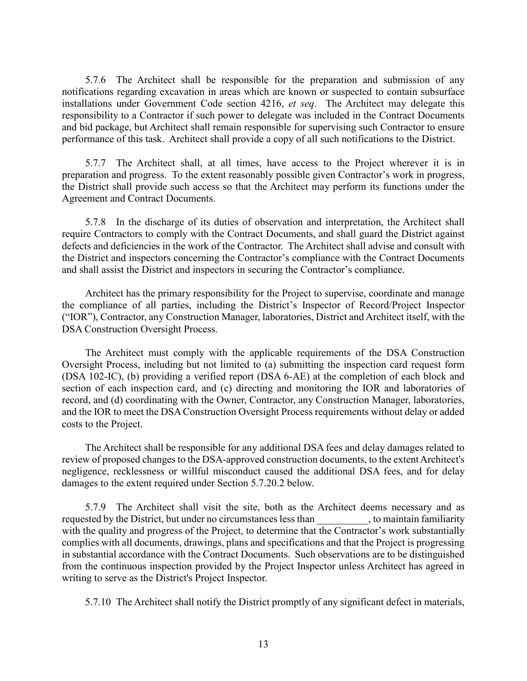5.7.6 The Architect shall be responsible for the preparation and submission of any notifications regarding excavation in areas which are known or suspected to contain subsurface installations under Government Code section 4216, *et seq*. The Architect may delegate this responsibility to a Contractor if such power to delegate was included in the Contract Documents and bid package, but Architect shall remain responsible for supervising such Contractor to ensure performance of this task. Architect shall provide a copy of all such notifications to the District.

5.7.7 The Architect shall, at all times, have access to the Project wherever it is in preparation and progress. To the extent reasonably possible given Contractor's work in progress, the District shall provide such access so that the Architect may perform its functions under the Agreement and Contract Documents.

5.7.8 In the discharge of its duties of observation and interpretation, the Architect shall require Contractors to comply with the Contract Documents, and shall guard the District against defects and deficiencies in the work of the Contractor. The Architect shall advise and consult with the District and inspectors concerning the Contractor's compliance with the Contract Documents and shall assist the District and inspectors in securing the Contractor's compliance.

Architect has the primary responsibility for the Project to supervise, coordinate and manage the compliance of all parties, including the District's Inspector of Record/Project Inspector ("IOR"), Contractor, any Construction Manager, laboratories, District and Architect itself, with the DSA Construction Oversight Process.

The Architect must comply with the applicable requirements of the DSA Construction Oversight Process, including but not limited to (a) submitting the inspection card request form (DSA 102-IC), (b) providing a verified report (DSA 6-AE) at the completion of each block and section of each inspection card, and (c) directing and monitoring the IOR and laboratories of record, and (d) coordinating with the Owner, Contractor, any Construction Manager, laboratories, and the IOR to meet the DSA Construction Oversight Process requirements without delay or added costs to the Project.

The Architect shall be responsible for any additional DSA fees and delay damages related to review of proposed changes to the DSA-approved construction documents, to the extent Architect's negligence, recklessness or willful misconduct caused the additional DSA fees, and for delay damages to the extent required under Section 5.7.20.2 below.

5.7.9 The Architect shall visit the site, both as the Architect deems necessary and as requested by the District, but under no circumstances less than  $\ldots$ , to maintain familiarity with the quality and progress of the Project, to determine that the Contractor's work substantially complies with all documents, drawings, plans and specifications and that the Project is progressing in substantial accordance with the Contract Documents. Such observations are to be distinguished from the continuous inspection provided by the Project Inspector unless Architect has agreed in writing to serve as the District's Project Inspector.

5.7.10 The Architect shall notify the District promptly of any significant defect in materials,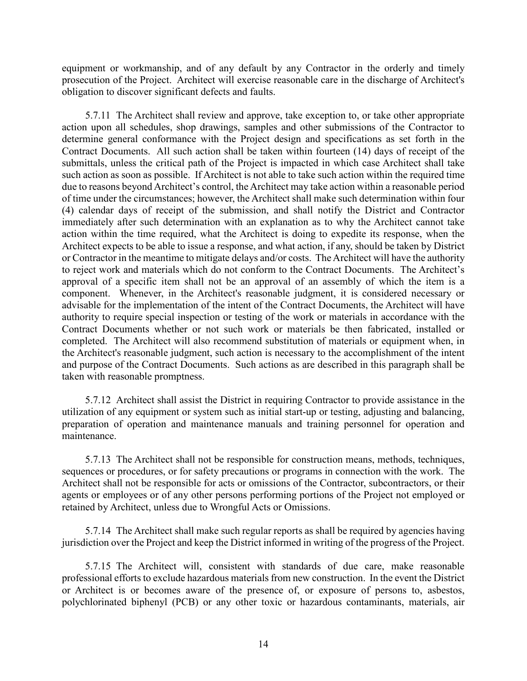equipment or workmanship, and of any default by any Contractor in the orderly and timely prosecution of the Project. Architect will exercise reasonable care in the discharge of Architect's obligation to discover significant defects and faults.

5.7.11 The Architect shall review and approve, take exception to, or take other appropriate action upon all schedules, shop drawings, samples and other submissions of the Contractor to determine general conformance with the Project design and specifications as set forth in the Contract Documents. All such action shall be taken within fourteen (14) days of receipt of the submittals, unless the critical path of the Project is impacted in which case Architect shall take such action as soon as possible. If Architect is not able to take such action within the required time due to reasons beyond Architect's control, the Architect may take action within a reasonable period of time under the circumstances; however, the Architect shall make such determination within four (4) calendar days of receipt of the submission, and shall notify the District and Contractor immediately after such determination with an explanation as to why the Architect cannot take action within the time required, what the Architect is doing to expedite its response, when the Architect expects to be able to issue a response, and what action, if any, should be taken by District or Contractor in the meantime to mitigate delays and/or costs. The Architect will have the authority to reject work and materials which do not conform to the Contract Documents. The Architect's approval of a specific item shall not be an approval of an assembly of which the item is a component. Whenever, in the Architect's reasonable judgment, it is considered necessary or advisable for the implementation of the intent of the Contract Documents, the Architect will have authority to require special inspection or testing of the work or materials in accordance with the Contract Documents whether or not such work or materials be then fabricated, installed or completed. The Architect will also recommend substitution of materials or equipment when, in the Architect's reasonable judgment, such action is necessary to the accomplishment of the intent and purpose of the Contract Documents. Such actions as are described in this paragraph shall be taken with reasonable promptness.

5.7.12 Architect shall assist the District in requiring Contractor to provide assistance in the utilization of any equipment or system such as initial start-up or testing, adjusting and balancing, preparation of operation and maintenance manuals and training personnel for operation and maintenance.

5.7.13 The Architect shall not be responsible for construction means, methods, techniques, sequences or procedures, or for safety precautions or programs in connection with the work. The Architect shall not be responsible for acts or omissions of the Contractor, subcontractors, or their agents or employees or of any other persons performing portions of the Project not employed or retained by Architect, unless due to Wrongful Acts or Omissions.

5.7.14 The Architect shall make such regular reports as shall be required by agencies having jurisdiction over the Project and keep the District informed in writing of the progress of the Project.

5.7.15 The Architect will, consistent with standards of due care, make reasonable professional efforts to exclude hazardous materials from new construction. In the event the District or Architect is or becomes aware of the presence of, or exposure of persons to, asbestos, polychlorinated biphenyl (PCB) or any other toxic or hazardous contaminants, materials, air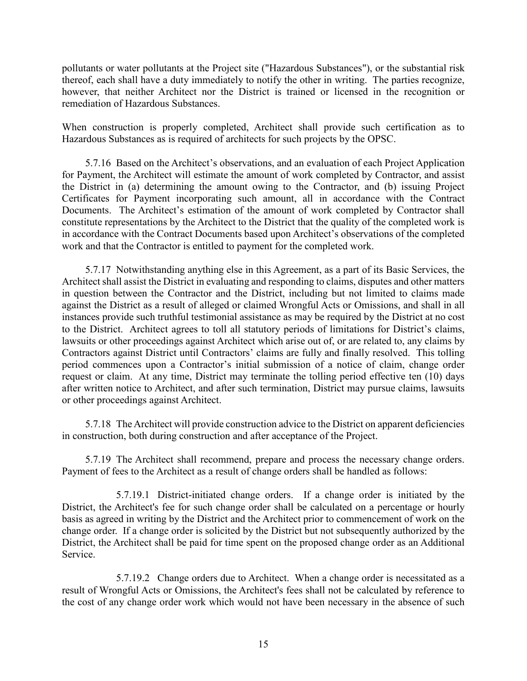pollutants or water pollutants at the Project site ("Hazardous Substances"), or the substantial risk thereof, each shall have a duty immediately to notify the other in writing. The parties recognize, however, that neither Architect nor the District is trained or licensed in the recognition or remediation of Hazardous Substances.

When construction is properly completed, Architect shall provide such certification as to Hazardous Substances as is required of architects for such projects by the OPSC.

5.7.16 Based on the Architect's observations, and an evaluation of each Project Application for Payment, the Architect will estimate the amount of work completed by Contractor, and assist the District in (a) determining the amount owing to the Contractor, and (b) issuing Project Certificates for Payment incorporating such amount, all in accordance with the Contract Documents. The Architect's estimation of the amount of work completed by Contractor shall constitute representations by the Architect to the District that the quality of the completed work is in accordance with the Contract Documents based upon Architect's observations of the completed work and that the Contractor is entitled to payment for the completed work.

5.7.17 Notwithstanding anything else in this Agreement, as a part of its Basic Services, the Architect shall assist the District in evaluating and responding to claims, disputes and other matters in question between the Contractor and the District, including but not limited to claims made against the District as a result of alleged or claimed Wrongful Acts or Omissions, and shall in all instances provide such truthful testimonial assistance as may be required by the District at no cost to the District. Architect agrees to toll all statutory periods of limitations for District's claims, lawsuits or other proceedings against Architect which arise out of, or are related to, any claims by Contractors against District until Contractors' claims are fully and finally resolved. This tolling period commences upon a Contractor's initial submission of a notice of claim, change order request or claim. At any time, District may terminate the tolling period effective ten (10) days after written notice to Architect, and after such termination, District may pursue claims, lawsuits or other proceedings against Architect.

5.7.18 The Architect will provide construction advice to the District on apparent deficiencies in construction, both during construction and after acceptance of the Project.

5.7.19 The Architect shall recommend, prepare and process the necessary change orders. Payment of fees to the Architect as a result of change orders shall be handled as follows:

5.7.19.1 District-initiated change orders. If a change order is initiated by the District, the Architect's fee for such change order shall be calculated on a percentage or hourly basis as agreed in writing by the District and the Architect prior to commencement of work on the change order. If a change order is solicited by the District but not subsequently authorized by the District, the Architect shall be paid for time spent on the proposed change order as an Additional Service.

5.7.19.2 Change orders due to Architect. When a change order is necessitated as a result of Wrongful Acts or Omissions, the Architect's fees shall not be calculated by reference to the cost of any change order work which would not have been necessary in the absence of such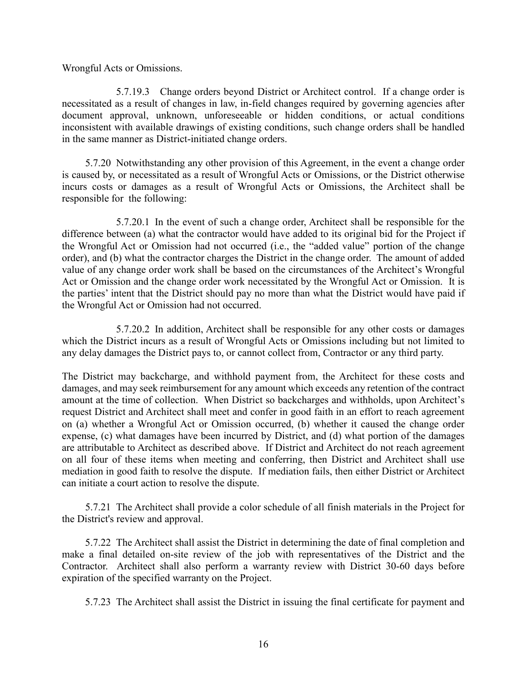Wrongful Acts or Omissions.

5.7.19.3 Change orders beyond District or Architect control. If a change order is necessitated as a result of changes in law, in-field changes required by governing agencies after document approval, unknown, unforeseeable or hidden conditions, or actual conditions inconsistent with available drawings of existing conditions, such change orders shall be handled in the same manner as District-initiated change orders.

5.7.20 Notwithstanding any other provision of this Agreement, in the event a change order is caused by, or necessitated as a result of Wrongful Acts or Omissions, or the District otherwise incurs costs or damages as a result of Wrongful Acts or Omissions, the Architect shall be responsible for the following:

5.7.20.1 In the event of such a change order, Architect shall be responsible for the difference between (a) what the contractor would have added to its original bid for the Project if the Wrongful Act or Omission had not occurred (i.e., the "added value" portion of the change order), and (b) what the contractor charges the District in the change order. The amount of added value of any change order work shall be based on the circumstances of the Architect's Wrongful Act or Omission and the change order work necessitated by the Wrongful Act or Omission. It is the parties' intent that the District should pay no more than what the District would have paid if the Wrongful Act or Omission had not occurred.

5.7.20.2 In addition, Architect shall be responsible for any other costs or damages which the District incurs as a result of Wrongful Acts or Omissions including but not limited to any delay damages the District pays to, or cannot collect from, Contractor or any third party.

The District may backcharge, and withhold payment from, the Architect for these costs and damages, and may seek reimbursement for any amount which exceeds any retention of the contract amount at the time of collection. When District so backcharges and withholds, upon Architect's request District and Architect shall meet and confer in good faith in an effort to reach agreement on (a) whether a Wrongful Act or Omission occurred, (b) whether it caused the change order expense, (c) what damages have been incurred by District, and (d) what portion of the damages are attributable to Architect as described above. If District and Architect do not reach agreement on all four of these items when meeting and conferring, then District and Architect shall use mediation in good faith to resolve the dispute. If mediation fails, then either District or Architect can initiate a court action to resolve the dispute.

5.7.21 The Architect shall provide a color schedule of all finish materials in the Project for the District's review and approval.

5.7.22 The Architect shall assist the District in determining the date of final completion and make a final detailed on-site review of the job with representatives of the District and the Contractor. Architect shall also perform a warranty review with District 30-60 days before expiration of the specified warranty on the Project.

5.7.23 The Architect shall assist the District in issuing the final certificate for payment and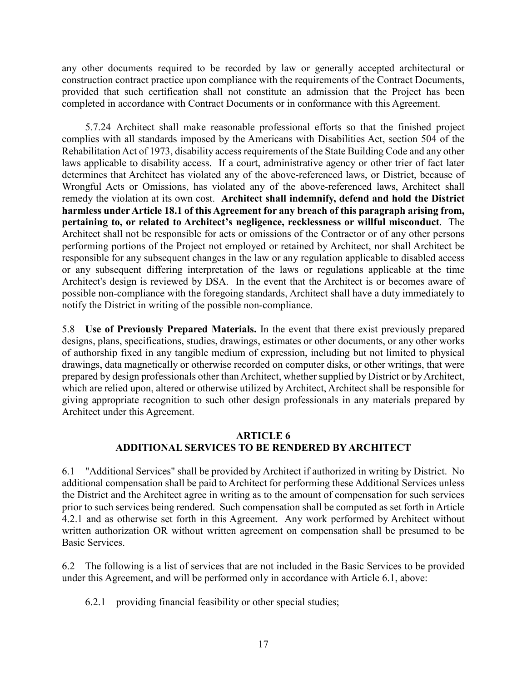any other documents required to be recorded by law or generally accepted architectural or construction contract practice upon compliance with the requirements of the Contract Documents, provided that such certification shall not constitute an admission that the Project has been completed in accordance with Contract Documents or in conformance with this Agreement.

5.7.24 Architect shall make reasonable professional efforts so that the finished project complies with all standards imposed by the Americans with Disabilities Act, section 504 of the Rehabilitation Act of 1973, disability access requirements of the State Building Code and any other laws applicable to disability access. If a court, administrative agency or other trier of fact later determines that Architect has violated any of the above-referenced laws, or District, because of Wrongful Acts or Omissions, has violated any of the above-referenced laws, Architect shall remedy the violation at its own cost. **Architect shall indemnify, defend and hold the District harmless underArticle 18.1 of this Agreement for any breach of this paragraph arising from, pertaining to, or related to Architect's negligence, recklessness or willful misconduct**. The Architect shall not be responsible for acts or omissions of the Contractor or of any other persons performing portions of the Project not employed or retained by Architect, nor shall Architect be responsible for any subsequent changes in the law or any regulation applicable to disabled access or any subsequent differing interpretation of the laws or regulations applicable at the time Architect's design is reviewed by DSA. In the event that the Architect is or becomes aware of possible non-compliance with the foregoing standards, Architect shall have a duty immediately to notify the District in writing of the possible non-compliance.

5.8 **Use of Previously Prepared Materials.** In the event that there exist previously prepared designs, plans, specifications, studies, drawings, estimates or other documents, or any other works of authorship fixed in any tangible medium of expression, including but not limited to physical drawings, data magnetically or otherwise recorded on computer disks, or other writings, that were prepared by design professionals other than Architect, whether supplied by District or by Architect, which are relied upon, altered or otherwise utilized by Architect, Architect shall be responsible for giving appropriate recognition to such other design professionals in any materials prepared by Architect under this Agreement.

### **ARTICLE 6 ADDITIONAL SERVICES TO BE RENDERED BY ARCHITECT**

6.1 "Additional Services" shall be provided by Architect if authorized in writing by District. No additional compensation shall be paid to Architect for performing these Additional Services unless the District and the Architect agree in writing as to the amount of compensation for such services prior to such services being rendered. Such compensation shall be computed as set forth in Article 4.2.1 and as otherwise set forth in this Agreement. Any work performed by Architect without written authorization OR without written agreement on compensation shall be presumed to be Basic Services.

6.2 The following is a list of services that are not included in the Basic Services to be provided under this Agreement, and will be performed only in accordance with Article 6.1, above:

6.2.1 providing financial feasibility or other special studies;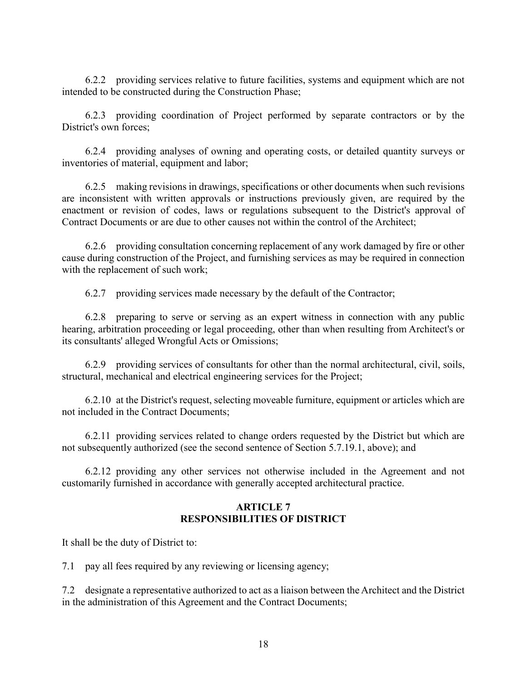6.2.2 providing services relative to future facilities, systems and equipment which are not intended to be constructed during the Construction Phase;

6.2.3 providing coordination of Project performed by separate contractors or by the District's own forces;

6.2.4 providing analyses of owning and operating costs, or detailed quantity surveys or inventories of material, equipment and labor;

6.2.5 making revisions in drawings, specifications or other documents when such revisions are inconsistent with written approvals or instructions previously given, are required by the enactment or revision of codes, laws or regulations subsequent to the District's approval of Contract Documents or are due to other causes not within the control of the Architect;

6.2.6 providing consultation concerning replacement of any work damaged by fire or other cause during construction of the Project, and furnishing services as may be required in connection with the replacement of such work;

6.2.7 providing services made necessary by the default of the Contractor;

6.2.8 preparing to serve or serving as an expert witness in connection with any public hearing, arbitration proceeding or legal proceeding, other than when resulting from Architect's or its consultants' alleged Wrongful Acts or Omissions;

6.2.9 providing services of consultants for other than the normal architectural, civil, soils, structural, mechanical and electrical engineering services for the Project;

6.2.10 at the District's request, selecting moveable furniture, equipment or articles which are not included in the Contract Documents;

6.2.11 providing services related to change orders requested by the District but which are not subsequently authorized (see the second sentence of Section 5.7.19.1, above); and

6.2.12 providing any other services not otherwise included in the Agreement and not customarily furnished in accordance with generally accepted architectural practice.

### **ARTICLE 7 RESPONSIBILITIES OF DISTRICT**

It shall be the duty of District to:

7.1 pay all fees required by any reviewing or licensing agency;

7.2 designate a representative authorized to act as a liaison between the Architect and the District in the administration of this Agreement and the Contract Documents;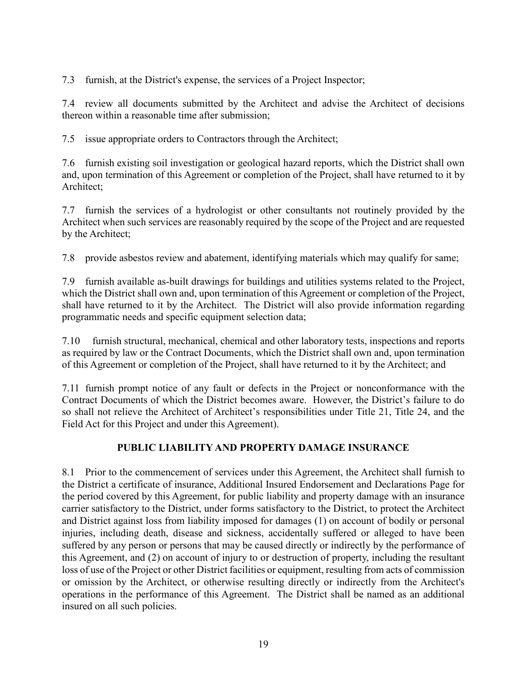7.3 furnish, at the District's expense, the services of a Project Inspector;

7.4 review all documents submitted by the Architect and advise the Architect of decisions thereon within a reasonable time after submission;

7.5 issue appropriate orders to Contractors through the Architect;

7.6 furnish existing soil investigation or geological hazard reports, which the District shall own and, upon termination of this Agreement or completion of the Project, shall have returned to it by Architect;

7.7 furnish the services of a hydrologist or other consultants not routinely provided by the Architect when such services are reasonably required by the scope of the Project and are requested by the Architect;

7.8 provide asbestos review and abatement, identifying materials which may qualify for same;

7.9 furnish available as-built drawings for buildings and utilities systems related to the Project, which the District shall own and, upon termination of this Agreement or completion of the Project, shall have returned to it by the Architect. The District will also provide information regarding programmatic needs and specific equipment selection data;

7.10 furnish structural, mechanical, chemical and other laboratory tests, inspections and reports as required by law or the Contract Documents, which the District shall own and, upon termination of this Agreement or completion of the Project, shall have returned to it by the Architect; and

7.11 furnish prompt notice of any fault or defects in the Project or nonconformance with the Contract Documents of which the District becomes aware. However, the District's failure to do so shall not relieve the Architect of Architect's responsibilities under Title 21, Title 24, and the Field Act for this Project and under this Agreement).

## **PUBLIC LIABILITY AND PROPERTY DAMAGE INSURANCE**

8.1 Prior to the commencement of services under this Agreement, the Architect shall furnish to the District a certificate of insurance, Additional Insured Endorsement and Declarations Page for the period covered by this Agreement, for public liability and property damage with an insurance carrier satisfactory to the District, under forms satisfactory to the District, to protect the Architect and District against loss from liability imposed for damages (1) on account of bodily or personal injuries, including death, disease and sickness, accidentally suffered or alleged to have been suffered by any person or persons that may be caused directly or indirectly by the performance of this Agreement, and (2) on account of injury to or destruction of property, including the resultant loss of use of the Project or other District facilities or equipment, resulting from acts of commission or omission by the Architect, or otherwise resulting directly or indirectly from the Architect's operations in the performance of this Agreement. The District shall be named as an additional insured on all such policies.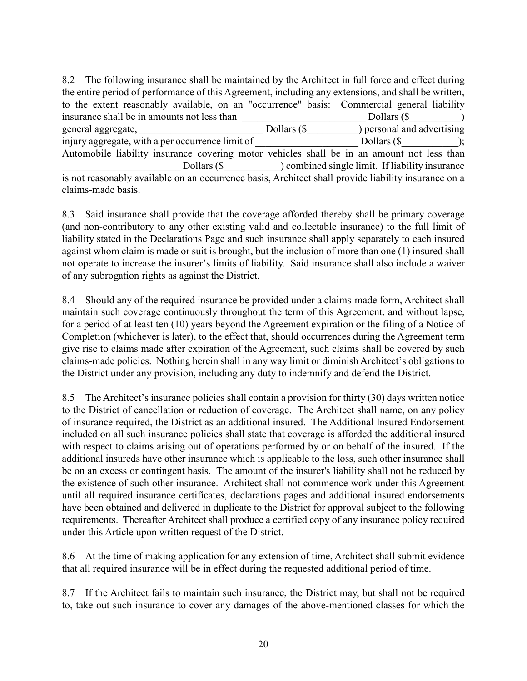8.2 The following insurance shall be maintained by the Architect in full force and effect during the entire period of performance of this Agreement, including any extensions, and shall be written, to the extent reasonably available, on an "occurrence" basis: Commercial general liability insurance shall be in amounts not less than  $\Box$  Dollars (\$) general aggregate,  $Dollars (§ \t\t Dersonal and advertising$ injury aggregate, with a per occurrence limit of  $\qquad \qquad$  Dollars (\$  $\qquad \qquad$ ); Automobile liability insurance covering motor vehicles shall be in an amount not less than Dollars (\$ ) combined single limit. If liability insurance is not reasonably available on an occurrence basis, Architect shall provide liability insurance on a claims-made basis.

8.3 Said insurance shall provide that the coverage afforded thereby shall be primary coverage (and non-contributory to any other existing valid and collectable insurance) to the full limit of liability stated in the Declarations Page and such insurance shall apply separately to each insured against whom claim is made or suit is brought, but the inclusion of more than one (1) insured shall not operate to increase the insurer's limits of liability. Said insurance shall also include a waiver of any subrogation rights as against the District.

8.4 Should any of the required insurance be provided under a claims-made form, Architect shall maintain such coverage continuously throughout the term of this Agreement, and without lapse, for a period of at least ten (10) years beyond the Agreement expiration or the filing of a Notice of Completion (whichever is later), to the effect that, should occurrences during the Agreement term give rise to claims made after expiration of the Agreement, such claims shall be covered by such claims-made policies. Nothing herein shall in any way limit or diminish Architect's obligations to the District under any provision, including any duty to indemnify and defend the District.

8.5 The Architect's insurance policies shall contain a provision for thirty (30) days written notice to the District of cancellation or reduction of coverage. The Architect shall name, on any policy of insurance required, the District as an additional insured. The Additional Insured Endorsement included on all such insurance policies shall state that coverage is afforded the additional insured with respect to claims arising out of operations performed by or on behalf of the insured. If the additional insureds have other insurance which is applicable to the loss, such other insurance shall be on an excess or contingent basis. The amount of the insurer's liability shall not be reduced by the existence of such other insurance. Architect shall not commence work under this Agreement until all required insurance certificates, declarations pages and additional insured endorsements have been obtained and delivered in duplicate to the District for approval subject to the following requirements. Thereafter Architect shall produce a certified copy of any insurance policy required under this Article upon written request of the District.

8.6 At the time of making application for any extension of time, Architect shall submit evidence that all required insurance will be in effect during the requested additional period of time.

8.7 If the Architect fails to maintain such insurance, the District may, but shall not be required to, take out such insurance to cover any damages of the above-mentioned classes for which the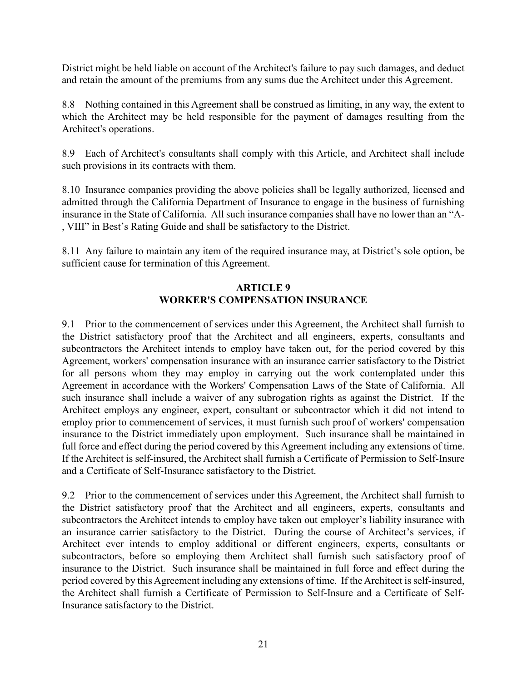District might be held liable on account of the Architect's failure to pay such damages, and deduct and retain the amount of the premiums from any sums due the Architect under this Agreement.

8.8 Nothing contained in this Agreement shall be construed as limiting, in any way, the extent to which the Architect may be held responsible for the payment of damages resulting from the Architect's operations.

8.9 Each of Architect's consultants shall comply with this Article, and Architect shall include such provisions in its contracts with them.

8.10 Insurance companies providing the above policies shall be legally authorized, licensed and admitted through the California Department of Insurance to engage in the business of furnishing insurance in the State of California. All such insurance companies shall have no lower than an "A- , VIII" in Best's Rating Guide and shall be satisfactory to the District.

8.11 Any failure to maintain any item of the required insurance may, at District's sole option, be sufficient cause for termination of this Agreement.

## **ARTICLE 9 WORKER'S COMPENSATION INSURANCE**

9.1 Prior to the commencement of services under this Agreement, the Architect shall furnish to the District satisfactory proof that the Architect and all engineers, experts, consultants and subcontractors the Architect intends to employ have taken out, for the period covered by this Agreement, workers' compensation insurance with an insurance carrier satisfactory to the District for all persons whom they may employ in carrying out the work contemplated under this Agreement in accordance with the Workers' Compensation Laws of the State of California. All such insurance shall include a waiver of any subrogation rights as against the District. If the Architect employs any engineer, expert, consultant or subcontractor which it did not intend to employ prior to commencement of services, it must furnish such proof of workers' compensation insurance to the District immediately upon employment. Such insurance shall be maintained in full force and effect during the period covered by this Agreement including any extensions of time. If the Architect is self-insured, the Architect shall furnish a Certificate of Permission to Self-Insure and a Certificate of Self-Insurance satisfactory to the District.

9.2 Prior to the commencement of services under this Agreement, the Architect shall furnish to the District satisfactory proof that the Architect and all engineers, experts, consultants and subcontractors the Architect intends to employ have taken out employer's liability insurance with an insurance carrier satisfactory to the District. During the course of Architect's services, if Architect ever intends to employ additional or different engineers, experts, consultants or subcontractors, before so employing them Architect shall furnish such satisfactory proof of insurance to the District. Such insurance shall be maintained in full force and effect during the period covered by this Agreement including any extensions of time. If the Architect is self-insured, the Architect shall furnish a Certificate of Permission to Self-Insure and a Certificate of Self-Insurance satisfactory to the District.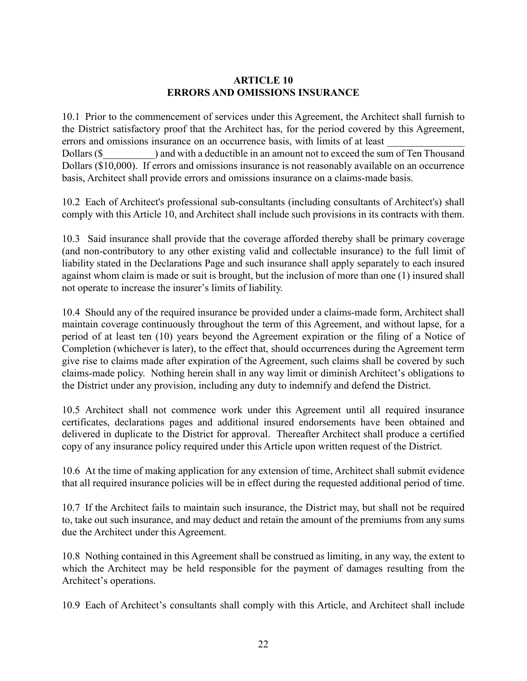### **ARTICLE 10 ERRORS AND OMISSIONS INSURANCE**

10.1 Prior to the commencement of services under this Agreement, the Architect shall furnish to the District satisfactory proof that the Architect has, for the period covered by this Agreement, errors and omissions insurance on an occurrence basis, with limits of at least Dollars (\$) and with a deductible in an amount not to exceed the sum of Ten Thousand Dollars (\$10,000). If errors and omissions insurance is not reasonably available on an occurrence basis, Architect shall provide errors and omissions insurance on a claims-made basis.

10.2 Each of Architect's professional sub-consultants (including consultants of Architect's) shall comply with this Article 10, and Architect shall include such provisions in its contracts with them.

10.3 Said insurance shall provide that the coverage afforded thereby shall be primary coverage (and non-contributory to any other existing valid and collectable insurance) to the full limit of liability stated in the Declarations Page and such insurance shall apply separately to each insured against whom claim is made or suit is brought, but the inclusion of more than one (1) insured shall not operate to increase the insurer's limits of liability.

10.4 Should any of the required insurance be provided under a claims-made form, Architect shall maintain coverage continuously throughout the term of this Agreement, and without lapse, for a period of at least ten (10) years beyond the Agreement expiration or the filing of a Notice of Completion (whichever is later), to the effect that, should occurrences during the Agreement term give rise to claims made after expiration of the Agreement, such claims shall be covered by such claims-made policy. Nothing herein shall in any way limit or diminish Architect's obligations to the District under any provision, including any duty to indemnify and defend the District.

10.5 Architect shall not commence work under this Agreement until all required insurance certificates, declarations pages and additional insured endorsements have been obtained and delivered in duplicate to the District for approval. Thereafter Architect shall produce a certified copy of any insurance policy required under this Article upon written request of the District.

10.6 At the time of making application for any extension of time, Architect shall submit evidence that all required insurance policies will be in effect during the requested additional period of time.

10.7 If the Architect fails to maintain such insurance, the District may, but shall not be required to, take out such insurance, and may deduct and retain the amount of the premiums from any sums due the Architect under this Agreement.

10.8 Nothing contained in this Agreement shall be construed as limiting, in any way, the extent to which the Architect may be held responsible for the payment of damages resulting from the Architect's operations.

10.9 Each of Architect's consultants shall comply with this Article, and Architect shall include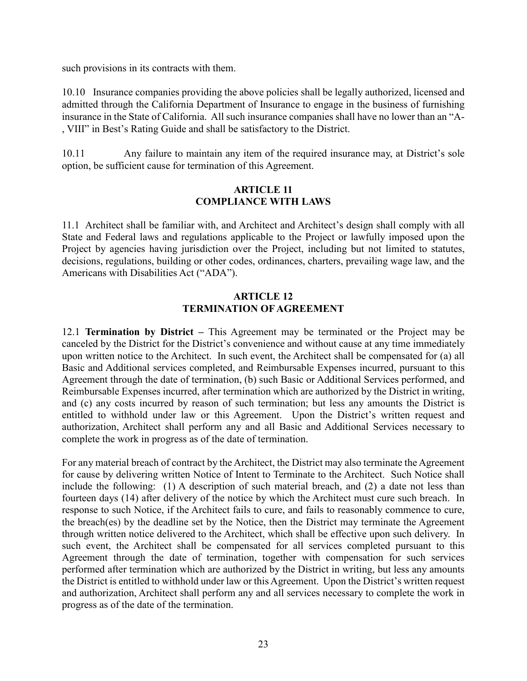such provisions in its contracts with them.

10.10 Insurance companies providing the above policies shall be legally authorized, licensed and admitted through the California Department of Insurance to engage in the business of furnishing insurance in the State of California. All such insurance companies shall have no lower than an "A- , VIII" in Best's Rating Guide and shall be satisfactory to the District.

10.11 Any failure to maintain any item of the required insurance may, at District's sole option, be sufficient cause for termination of this Agreement.

### **ARTICLE 11 COMPLIANCE WITH LAWS**

11.1 Architect shall be familiar with, and Architect and Architect's design shall comply with all State and Federal laws and regulations applicable to the Project or lawfully imposed upon the Project by agencies having jurisdiction over the Project, including but not limited to statutes, decisions, regulations, building or other codes, ordinances, charters, prevailing wage law, and the Americans with Disabilities Act ("ADA").

### **ARTICLE 12 TERMINATION OF AGREEMENT**

12.1 **Termination by District –** This Agreement may be terminated or the Project may be canceled by the District for the District's convenience and without cause at any time immediately upon written notice to the Architect. In such event, the Architect shall be compensated for (a) all Basic and Additional services completed, and Reimbursable Expenses incurred, pursuant to this Agreement through the date of termination, (b) such Basic or Additional Services performed, and Reimbursable Expenses incurred, after termination which are authorized by the District in writing, and (c) any costs incurred by reason of such termination; but less any amounts the District is entitled to withhold under law or this Agreement. Upon the District's written request and authorization, Architect shall perform any and all Basic and Additional Services necessary to complete the work in progress as of the date of termination.

For any material breach of contract by the Architect, the District may also terminate the Agreement for cause by delivering written Notice of Intent to Terminate to the Architect. Such Notice shall include the following: (1) A description of such material breach, and (2) a date not less than fourteen days (14) after delivery of the notice by which the Architect must cure such breach. In response to such Notice, if the Architect fails to cure, and fails to reasonably commence to cure, the breach(es) by the deadline set by the Notice, then the District may terminate the Agreement through written notice delivered to the Architect, which shall be effective upon such delivery. In such event, the Architect shall be compensated for all services completed pursuant to this Agreement through the date of termination, together with compensation for such services performed after termination which are authorized by the District in writing, but less any amounts the District is entitled to withhold under law or this Agreement. Upon the District's written request and authorization, Architect shall perform any and all services necessary to complete the work in progress as of the date of the termination.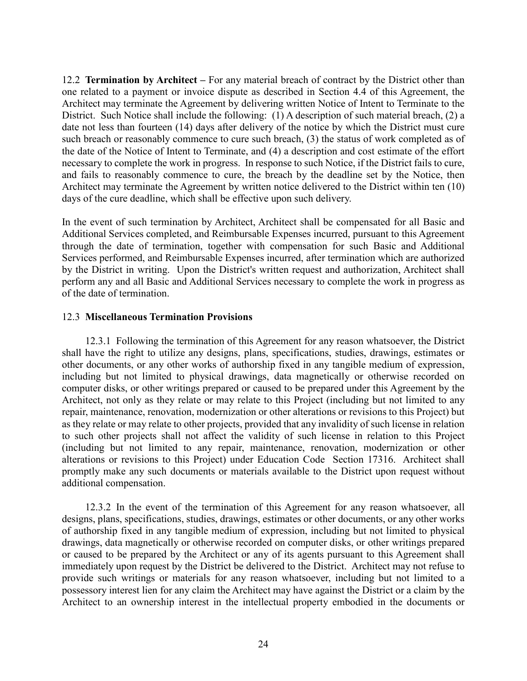12.2 **Termination by Architect –** For any material breach of contract by the District other than one related to a payment or invoice dispute as described in Section 4.4 of this Agreement, the Architect may terminate the Agreement by delivering written Notice of Intent to Terminate to the District. Such Notice shall include the following: (1) A description of such material breach, (2) a date not less than fourteen (14) days after delivery of the notice by which the District must cure such breach or reasonably commence to cure such breach, (3) the status of work completed as of the date of the Notice of Intent to Terminate, and (4) a description and cost estimate of the effort necessary to complete the work in progress. In response to such Notice, if the District fails to cure, and fails to reasonably commence to cure, the breach by the deadline set by the Notice, then Architect may terminate the Agreement by written notice delivered to the District within ten (10) days of the cure deadline, which shall be effective upon such delivery.

In the event of such termination by Architect, Architect shall be compensated for all Basic and Additional Services completed, and Reimbursable Expenses incurred, pursuant to this Agreement through the date of termination, together with compensation for such Basic and Additional Services performed, and Reimbursable Expenses incurred, after termination which are authorized by the District in writing. Upon the District's written request and authorization, Architect shall perform any and all Basic and Additional Services necessary to complete the work in progress as of the date of termination.

### 12.3 **Miscellaneous Termination Provisions**

12.3.1 Following the termination of this Agreement for any reason whatsoever, the District shall have the right to utilize any designs, plans, specifications, studies, drawings, estimates or other documents, or any other works of authorship fixed in any tangible medium of expression, including but not limited to physical drawings, data magnetically or otherwise recorded on computer disks, or other writings prepared or caused to be prepared under this Agreement by the Architect, not only as they relate or may relate to this Project (including but not limited to any repair, maintenance, renovation, modernization or other alterations or revisions to this Project) but as they relate or may relate to other projects, provided that any invalidity of such license in relation to such other projects shall not affect the validity of such license in relation to this Project (including but not limited to any repair, maintenance, renovation, modernization or other alterations or revisions to this Project) under Education Code Section 17316. Architect shall promptly make any such documents or materials available to the District upon request without additional compensation.

12.3.2 In the event of the termination of this Agreement for any reason whatsoever, all designs, plans, specifications, studies, drawings, estimates or other documents, or any other works of authorship fixed in any tangible medium of expression, including but not limited to physical drawings, data magnetically or otherwise recorded on computer disks, or other writings prepared or caused to be prepared by the Architect or any of its agents pursuant to this Agreement shall immediately upon request by the District be delivered to the District. Architect may not refuse to provide such writings or materials for any reason whatsoever, including but not limited to a possessory interest lien for any claim the Architect may have against the District or a claim by the Architect to an ownership interest in the intellectual property embodied in the documents or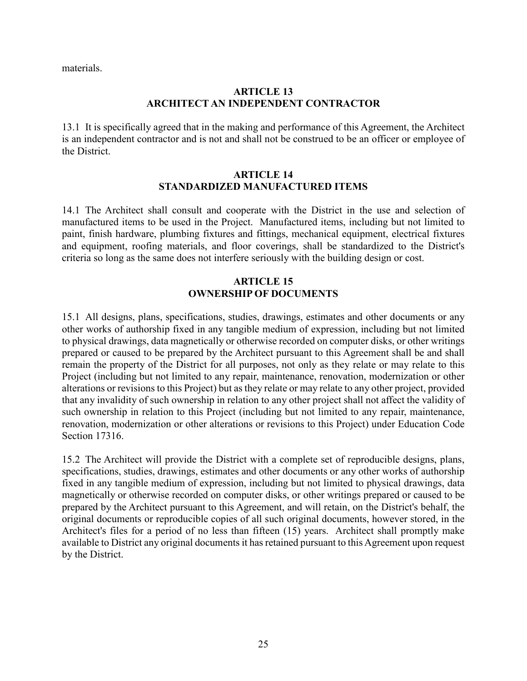materials.

### **ARTICLE 13 ARCHITECT AN INDEPENDENT CONTRACTOR**

13.1 It is specifically agreed that in the making and performance of this Agreement, the Architect is an independent contractor and is not and shall not be construed to be an officer or employee of the District.

### **ARTICLE 14 STANDARDIZED MANUFACTURED ITEMS**

14.1 The Architect shall consult and cooperate with the District in the use and selection of manufactured items to be used in the Project. Manufactured items, including but not limited to paint, finish hardware, plumbing fixtures and fittings, mechanical equipment, electrical fixtures and equipment, roofing materials, and floor coverings, shall be standardized to the District's criteria so long as the same does not interfere seriously with the building design or cost.

### **ARTICLE 15 OWNERSHIP OF DOCUMENTS**

15.1 All designs, plans, specifications, studies, drawings, estimates and other documents or any other works of authorship fixed in any tangible medium of expression, including but not limited to physical drawings, data magnetically or otherwise recorded on computer disks, or other writings prepared or caused to be prepared by the Architect pursuant to this Agreement shall be and shall remain the property of the District for all purposes, not only as they relate or may relate to this Project (including but not limited to any repair, maintenance, renovation, modernization or other alterations or revisions to this Project) but as they relate or may relate to any other project, provided that any invalidity of such ownership in relation to any other project shall not affect the validity of such ownership in relation to this Project (including but not limited to any repair, maintenance, renovation, modernization or other alterations or revisions to this Project) under Education Code Section 17316.

15.2 The Architect will provide the District with a complete set of reproducible designs, plans, specifications, studies, drawings, estimates and other documents or any other works of authorship fixed in any tangible medium of expression, including but not limited to physical drawings, data magnetically or otherwise recorded on computer disks, or other writings prepared or caused to be prepared by the Architect pursuant to this Agreement, and will retain, on the District's behalf, the original documents or reproducible copies of all such original documents, however stored, in the Architect's files for a period of no less than fifteen (15) years. Architect shall promptly make available to District any original documents it has retained pursuant to this Agreement upon request by the District.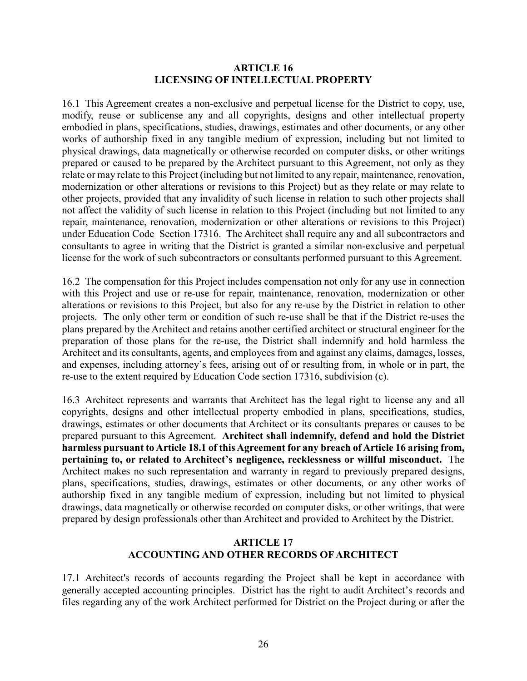#### **ARTICLE 16 LICENSING OF INTELLECTUAL PROPERTY**

16.1 This Agreement creates a non-exclusive and perpetual license for the District to copy, use, modify, reuse or sublicense any and all copyrights, designs and other intellectual property embodied in plans, specifications, studies, drawings, estimates and other documents, or any other works of authorship fixed in any tangible medium of expression, including but not limited to physical drawings, data magnetically or otherwise recorded on computer disks, or other writings prepared or caused to be prepared by the Architect pursuant to this Agreement, not only as they relate or may relate to this Project (including but not limited to any repair, maintenance, renovation, modernization or other alterations or revisions to this Project) but as they relate or may relate to other projects, provided that any invalidity of such license in relation to such other projects shall not affect the validity of such license in relation to this Project (including but not limited to any repair, maintenance, renovation, modernization or other alterations or revisions to this Project) under Education Code Section 17316. The Architect shall require any and all subcontractors and consultants to agree in writing that the District is granted a similar non-exclusive and perpetual license for the work of such subcontractors or consultants performed pursuant to this Agreement.

16.2 The compensation for this Project includes compensation not only for any use in connection with this Project and use or re-use for repair, maintenance, renovation, modernization or other alterations or revisions to this Project, but also for any re-use by the District in relation to other projects. The only other term or condition of such re-use shall be that if the District re-uses the plans prepared by the Architect and retains another certified architect or structural engineer for the preparation of those plans for the re-use, the District shall indemnify and hold harmless the Architect and its consultants, agents, and employees from and against any claims, damages, losses, and expenses, including attorney's fees, arising out of or resulting from, in whole or in part, the re-use to the extent required by Education Code section 17316, subdivision (c).

16.3 Architect represents and warrants that Architect has the legal right to license any and all copyrights, designs and other intellectual property embodied in plans, specifications, studies, drawings, estimates or other documents that Architect or its consultants prepares or causes to be prepared pursuant to this Agreement. **Architect shall indemnify, defend and hold the District harmless pursuant to Article 18.1 of this Agreement for any breach of Article 16 arising from, pertaining to, or related to Architect's negligence, recklessness or willful misconduct.** The Architect makes no such representation and warranty in regard to previously prepared designs, plans, specifications, studies, drawings, estimates or other documents, or any other works of authorship fixed in any tangible medium of expression, including but not limited to physical drawings, data magnetically or otherwise recorded on computer disks, or other writings, that were prepared by design professionals other than Architect and provided to Architect by the District.

### **ARTICLE 17 ACCOUNTING AND OTHER RECORDS OF ARCHITECT**

17.1 Architect's records of accounts regarding the Project shall be kept in accordance with generally accepted accounting principles. District has the right to audit Architect's records and files regarding any of the work Architect performed for District on the Project during or after the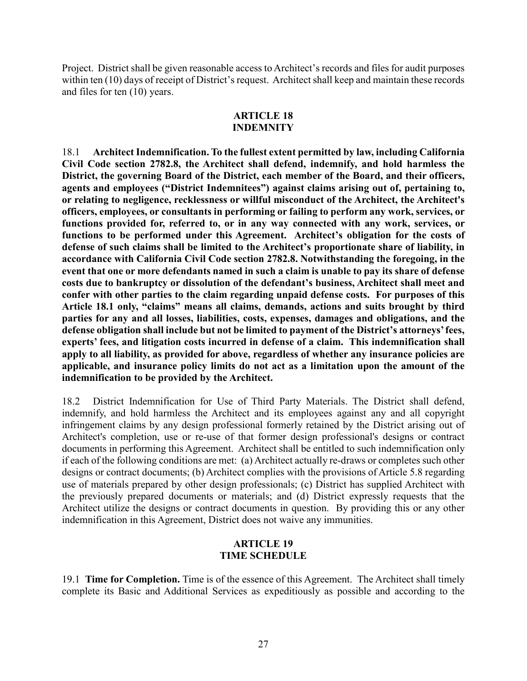Project. District shall be given reasonable access to Architect's records and files for audit purposes within ten (10) days of receipt of District's request. Architect shall keep and maintain these records and files for ten (10) years.

#### **ARTICLE 18 INDEMNITY**

18.1 **Architect Indemnification. To the fullest extent permitted by law, including California Civil Code section 2782.8, the Architect shall defend, indemnify, and hold harmless the District, the governing Board of the District, each member of the Board, and their officers, agents and employees ("District Indemnitees") against claims arising out of, pertaining to, or relating to negligence, recklessness or willful misconduct of the Architect, the Architect's officers, employees, or consultants in performing or failing to perform any work, services, or functions provided for, referred to, or in any way connected with any work, services, or functions to be performed under this Agreement. Architect's obligation for the costs of defense of such claims shall be limited to the Architect's proportionate share of liability, in accordance with California Civil Code section 2782.8. Notwithstanding the foregoing, in the event that one or more defendants named in such a claim is unable to pay its share of defense costs due to bankruptcy or dissolution of the defendant's business, Architect shall meet and confer with other parties to the claim regarding unpaid defense costs. For purposes of this Article 18.1 only, "claims" means all claims, demands, actions and suits brought by third parties for any and all losses, liabilities, costs, expenses, damages and obligations, and the defense obligation shall include but not be limited to payment of the District's attorneys' fees, experts' fees, and litigation costs incurred in defense of a claim. This indemnification shall apply to all liability, as provided for above, regardless of whether any insurance policies are applicable, and insurance policy limits do not act as a limitation upon the amount of the indemnification to be provided by the Architect.**

18.2 District Indemnification for Use of Third Party Materials. The District shall defend, indemnify, and hold harmless the Architect and its employees against any and all copyright infringement claims by any design professional formerly retained by the District arising out of Architect's completion, use or re-use of that former design professional's designs or contract documents in performing this Agreement. Architect shall be entitled to such indemnification only if each of the following conditions are met: (a) Architect actually re-draws or completes such other designs or contract documents; (b) Architect complies with the provisions of Article 5.8 regarding use of materials prepared by other design professionals; (c) District has supplied Architect with the previously prepared documents or materials; and (d) District expressly requests that the Architect utilize the designs or contract documents in question. By providing this or any other indemnification in this Agreement, District does not waive any immunities.

### **ARTICLE 19 TIME SCHEDULE**

19.1 **Time for Completion.** Time is of the essence of this Agreement. The Architect shall timely complete its Basic and Additional Services as expeditiously as possible and according to the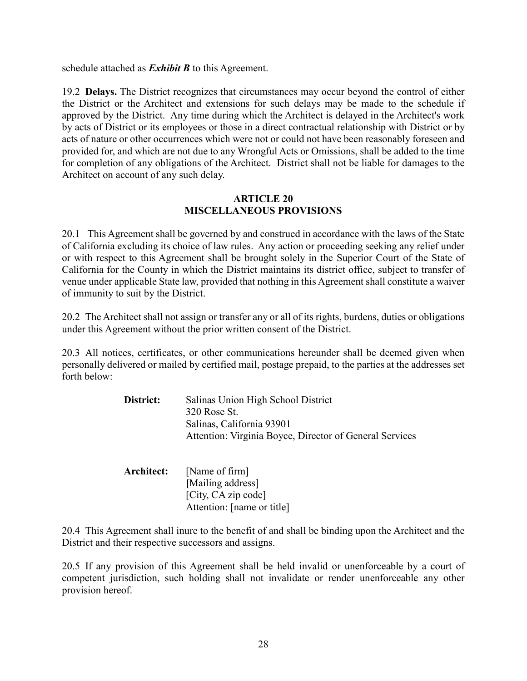schedule attached as *Exhibit B* to this Agreement.

19.2 **Delays.** The District recognizes that circumstances may occur beyond the control of either the District or the Architect and extensions for such delays may be made to the schedule if approved by the District. Any time during which the Architect is delayed in the Architect's work by acts of District or its employees or those in a direct contractual relationship with District or by acts of nature or other occurrences which were not or could not have been reasonably foreseen and provided for, and which are not due to any Wrongful Acts or Omissions, shall be added to the time for completion of any obligations of the Architect. District shall not be liable for damages to the Architect on account of any such delay.

### **ARTICLE 20 MISCELLANEOUS PROVISIONS**

20.1 This Agreement shall be governed by and construed in accordance with the laws of the State of California excluding its choice of law rules. Any action or proceeding seeking any relief under or with respect to this Agreement shall be brought solely in the Superior Court of the State of California for the County in which the District maintains its district office, subject to transfer of venue under applicable State law, provided that nothing in this Agreement shall constitute a waiver of immunity to suit by the District.

20.2 The Architect shall not assign or transfer any or all of its rights, burdens, duties or obligations under this Agreement without the prior written consent of the District.

20.3 All notices, certificates, or other communications hereunder shall be deemed given when personally delivered or mailed by certified mail, postage prepaid, to the parties at the addresses set forth below:

| District:  | Salinas Union High School District<br>320 Rose St.<br>Salinas, California 93901<br>Attention: Virginia Boyce, Director of General Services |
|------------|--------------------------------------------------------------------------------------------------------------------------------------------|
| Architect: | [Name of firm]<br>[Mailing address]<br>[City, CA zip code]<br>Attention: [name or title]                                                   |

20.4 This Agreement shall inure to the benefit of and shall be binding upon the Architect and the District and their respective successors and assigns.

20.5 If any provision of this Agreement shall be held invalid or unenforceable by a court of competent jurisdiction, such holding shall not invalidate or render unenforceable any other provision hereof.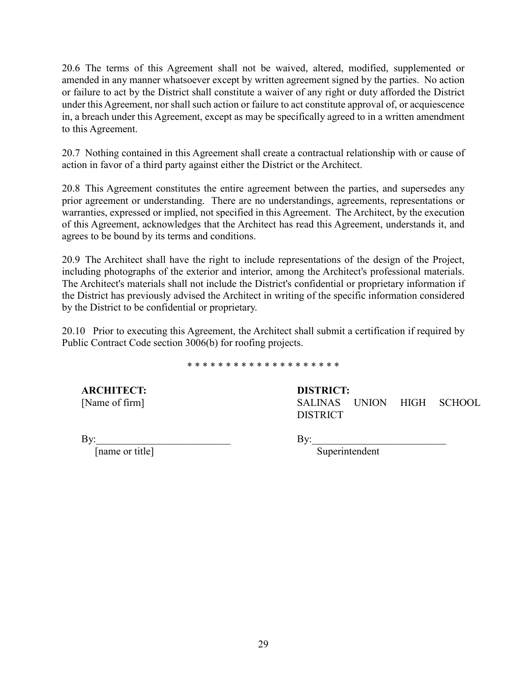20.6 The terms of this Agreement shall not be waived, altered, modified, supplemented or amended in any manner whatsoever except by written agreement signed by the parties. No action or failure to act by the District shall constitute a waiver of any right or duty afforded the District under this Agreement, nor shall such action or failure to act constitute approval of, or acquiescence in, a breach under this Agreement, except as may be specifically agreed to in a written amendment to this Agreement.

20.7 Nothing contained in this Agreement shall create a contractual relationship with or cause of action in favor of a third party against either the District or the Architect.

20.8 This Agreement constitutes the entire agreement between the parties, and supersedes any prior agreement or understanding. There are no understandings, agreements, representations or warranties, expressed or implied, not specified in this Agreement. The Architect, by the execution of this Agreement, acknowledges that the Architect has read this Agreement, understands it, and agrees to be bound by its terms and conditions.

20.9 The Architect shall have the right to include representations of the design of the Project, including photographs of the exterior and interior, among the Architect's professional materials. The Architect's materials shall not include the District's confidential or proprietary information if the District has previously advised the Architect in writing of the specific information considered by the District to be confidential or proprietary.

20.10 Prior to executing this Agreement, the Architect shall submit a certification if required by Public Contract Code section 3006(b) for roofing projects.

#### \* \* \* \* \* \* \* \* \* \* \* \* \* \* \* \* \* \* \* \*

**ARCHITECT:** [Name of firm]

### **DISTRICT:**

SALINAS UNION HIGH SCHOOL DISTRICT

By:  $\frac{1}{2}$ 

[name or title]

By:\_\_\_\_\_\_\_\_\_\_\_\_\_\_\_\_\_\_\_\_\_\_\_\_\_\_

Superintendent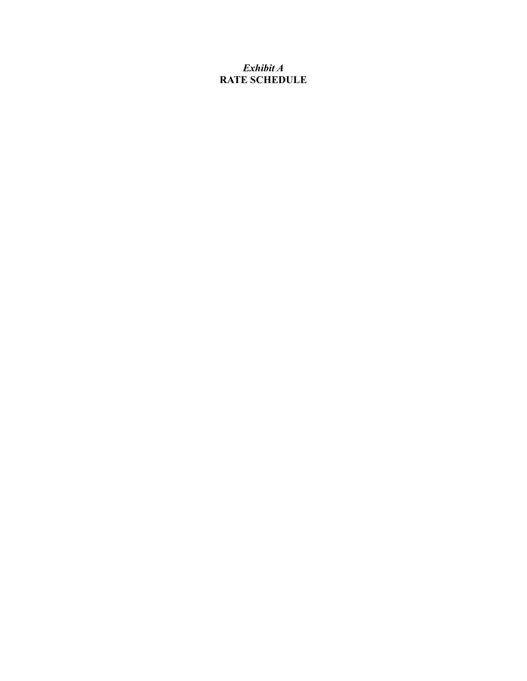## *Exhibit A* **RATE SCHEDULE**